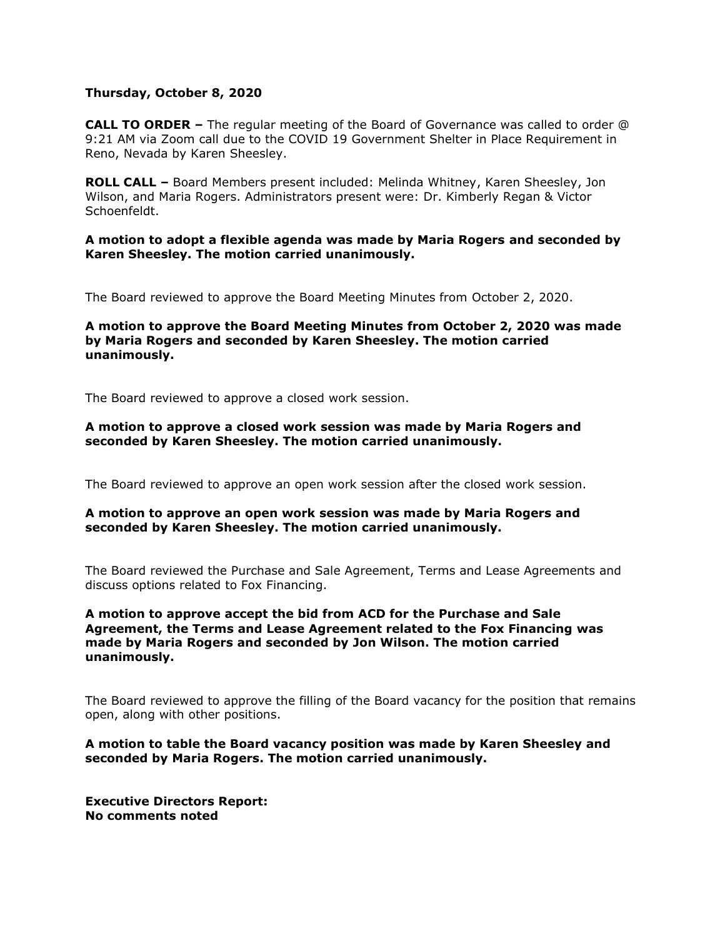### **Thursday, October 8, 2020**

**CALL TO ORDER –** The regular meeting of the Board of Governance was called to order @ 9:21 AM via Zoom call due to the COVID 19 Government Shelter in Place Requirement in Reno, Nevada by Karen Sheesley.

**ROLL CALL –** Board Members present included: Melinda Whitney, Karen Sheesley, Jon Wilson, and Maria Rogers. Administrators present were: Dr. Kimberly Regan & Victor Schoenfeldt.

**A motion to adopt a flexible agenda was made by Maria Rogers and seconded by Karen Sheesley. The motion carried unanimously.** 

The Board reviewed to approve the Board Meeting Minutes from October 2, 2020.

**A motion to approve the Board Meeting Minutes from October 2, 2020 was made by Maria Rogers and seconded by Karen Sheesley. The motion carried unanimously.**

The Board reviewed to approve a closed work session.

### **A motion to approve a closed work session was made by Maria Rogers and seconded by Karen Sheesley. The motion carried unanimously.**

The Board reviewed to approve an open work session after the closed work session.

## **A motion to approve an open work session was made by Maria Rogers and seconded by Karen Sheesley. The motion carried unanimously.**

The Board reviewed the Purchase and Sale Agreement, Terms and Lease Agreements and discuss options related to Fox Financing.

# **A motion to approve accept the bid from ACD for the Purchase and Sale Agreement, the Terms and Lease Agreement related to the Fox Financing was made by Maria Rogers and seconded by Jon Wilson. The motion carried unanimously.**

The Board reviewed to approve the filling of the Board vacancy for the position that remains open, along with other positions.

**A motion to table the Board vacancy position was made by Karen Sheesley and seconded by Maria Rogers. The motion carried unanimously.**

**Executive Directors Report: No comments noted**